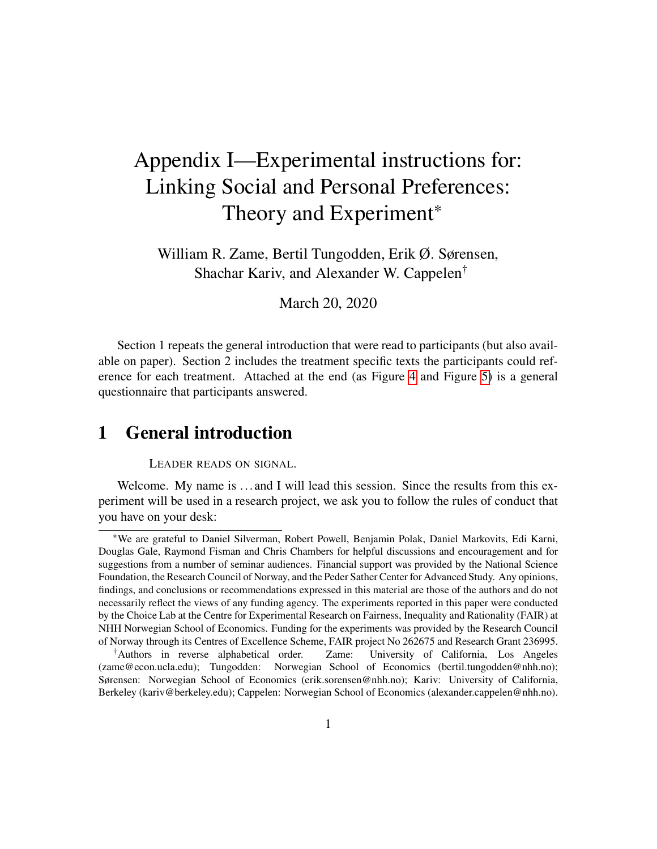# Appendix I—Experimental instructions for: Linking Social and Personal Preferences: Theory and Experiment<sup>\*</sup>

William R. Zame, Bertil Tungodden, Erik Ø. Sørensen, Shachar Kariv, and Alexander W. Cappelen†

March 20, 2020

Section 1 repeats the general introduction that were read to participants (but also available on paper). Section 2 includes the treatment specific texts the participants could reference for each treatment. Attached at the end (as Figure [4](#page-12-0) and Figure [5\)](#page-13-0) is a general questionnaire that participants answered.

# **1 General introduction**

LEADER READS ON SIGNAL.

Welcome. My name is ... and I will lead this session. Since the results from this experiment will be used in a research project, we ask you to follow the rules of conduct that you have on your desk:

<sup>∗</sup>We are grateful to Daniel Silverman, Robert Powell, Benjamin Polak, Daniel Markovits, Edi Karni, Douglas Gale, Raymond Fisman and Chris Chambers for helpful discussions and encouragement and for suggestions from a number of seminar audiences. Financial support was provided by the National Science Foundation, the Research Council of Norway, and the Peder Sather Center for Advanced Study. Any opinions, findings, and conclusions or recommendations expressed in this material are those of the authors and do not necessarily reflect the views of any funding agency. The experiments reported in this paper were conducted by the Choice Lab at the Centre for Experimental Research on Fairness, Inequality and Rationality (FAIR) at NHH Norwegian School of Economics. Funding for the experiments was provided by the Research Council of Norway through its Centres of Excellence Scheme, FAIR project No 262675 and Research Grant 236995.

<sup>†</sup>Authors in reverse alphabetical order. Zame: University of California, Los Angeles (zame@econ.ucla.edu); Tungodden: Norwegian School of Economics (bertil.tungodden@nhh.no); Sørensen: Norwegian School of Economics (erik.sorensen@nhh.no); Kariv: University of California, Berkeley (kariv@berkeley.edu); Cappelen: Norwegian School of Economics (alexander.cappelen@nhh.no).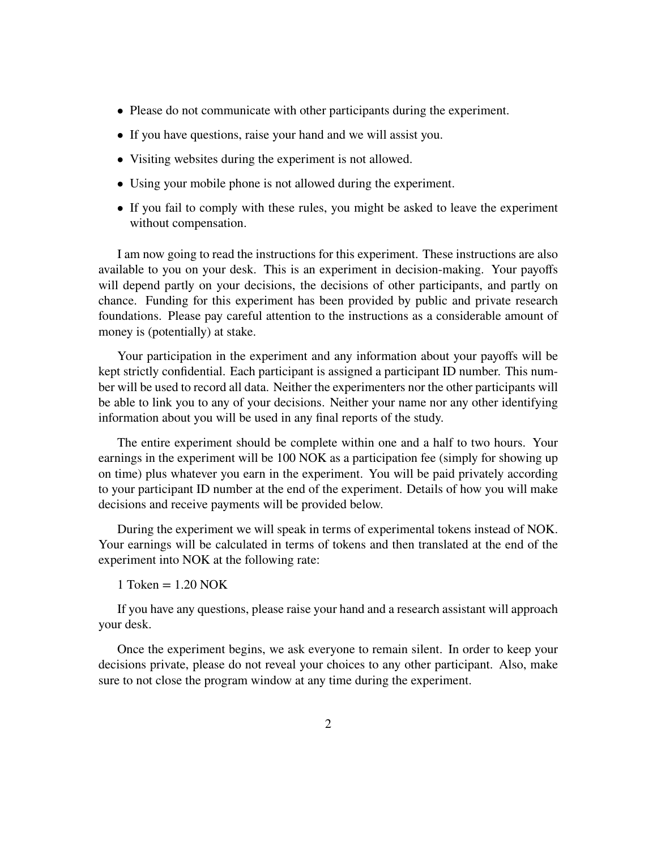- Please do not communicate with other participants during the experiment.
- If you have questions, raise your hand and we will assist you.
- Visiting websites during the experiment is not allowed.
- Using your mobile phone is not allowed during the experiment.
- If you fail to comply with these rules, you might be asked to leave the experiment without compensation.

I am now going to read the instructions for this experiment. These instructions are also available to you on your desk. This is an experiment in decision-making. Your payoffs will depend partly on your decisions, the decisions of other participants, and partly on chance. Funding for this experiment has been provided by public and private research foundations. Please pay careful attention to the instructions as a considerable amount of money is (potentially) at stake.

Your participation in the experiment and any information about your payoffs will be kept strictly confidential. Each participant is assigned a participant ID number. This number will be used to record all data. Neither the experimenters nor the other participants will be able to link you to any of your decisions. Neither your name nor any other identifying information about you will be used in any final reports of the study.

The entire experiment should be complete within one and a half to two hours. Your earnings in the experiment will be 100 NOK as a participation fee (simply for showing up on time) plus whatever you earn in the experiment. You will be paid privately according to your participant ID number at the end of the experiment. Details of how you will make decisions and receive payments will be provided below.

During the experiment we will speak in terms of experimental tokens instead of NOK. Your earnings will be calculated in terms of tokens and then translated at the end of the experiment into NOK at the following rate:

1 Token  $= 1.20$  NOK

If you have any questions, please raise your hand and a research assistant will approach your desk.

Once the experiment begins, we ask everyone to remain silent. In order to keep your decisions private, please do not reveal your choices to any other participant. Also, make sure to not close the program window at any time during the experiment.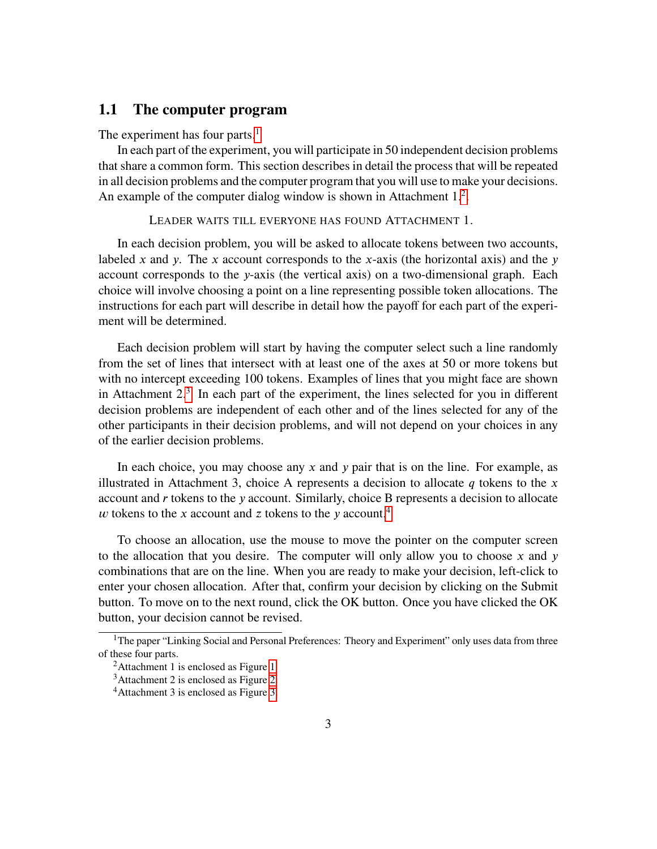#### **1.1 The computer program**

The experiment has four parts.<sup>[1](#page-2-0)</sup>

In each part of the experiment, you will participate in 50 independent decision problems that share a common form. This section describes in detail the process that will be repeated in all decision problems and the computer program that you will use to make your decisions. An example of the computer dialog window is shown in Attachment  $1<sup>2</sup>$  $1<sup>2</sup>$  $1<sup>2</sup>$ .

LEADER WAITS TILL EVERYONE HAS FOUND ATTACHMENT 1.

In each decision problem, you will be asked to allocate tokens between two accounts, labeled *x* and *y*. The *x* account corresponds to the *x*-axis (the horizontal axis) and the *y* account corresponds to the *y*-axis (the vertical axis) on a two-dimensional graph. Each choice will involve choosing a point on a line representing possible token allocations. The instructions for each part will describe in detail how the payoff for each part of the experiment will be determined.

Each decision problem will start by having the computer select such a line randomly from the set of lines that intersect with at least one of the axes at 50 or more tokens but with no intercept exceeding 100 tokens. Examples of lines that you might face are shown in Attachment 2.<sup>[3](#page-2-2)</sup> In each part of the experiment, the lines selected for you in different decision problems are independent of each other and of the lines selected for any of the other participants in their decision problems, and will not depend on your choices in any of the earlier decision problems.

In each choice, you may choose any *x* and *y* pair that is on the line. For example, as illustrated in Attachment 3, choice A represents a decision to allocate  $q$  tokens to the  $x$ account and *r* tokens to the *y* account. Similarly, choice B represents a decision to allocate  *tokens to the <i>x* account and *z* tokens to the *y* account.<sup>[4](#page-2-3)</sup>

To choose an allocation, use the mouse to move the pointer on the computer screen to the allocation that you desire. The computer will only allow you to choose  $\bar{x}$  and  $\bar{y}$ combinations that are on the line. When you are ready to make your decision, left-click to enter your chosen allocation. After that, confirm your decision by clicking on the Submit button. To move on to the next round, click the OK button. Once you have clicked the OK button, your decision cannot be revised.

<span id="page-2-0"></span><sup>&</sup>lt;sup>1</sup>The paper "Linking Social and Personal Preferences: Theory and Experiment" only uses data from three of these four parts.

<span id="page-2-1"></span><sup>&</sup>lt;sup>2</sup>Attachment [1](#page-9-0) is enclosed as Figure 1

<span id="page-2-2"></span><sup>3</sup>Attachment 2 is enclosed as Figure [2.](#page-10-0)

<span id="page-2-3"></span><sup>4</sup>Attachment 3 is enclosed as Figure [3.](#page-11-0)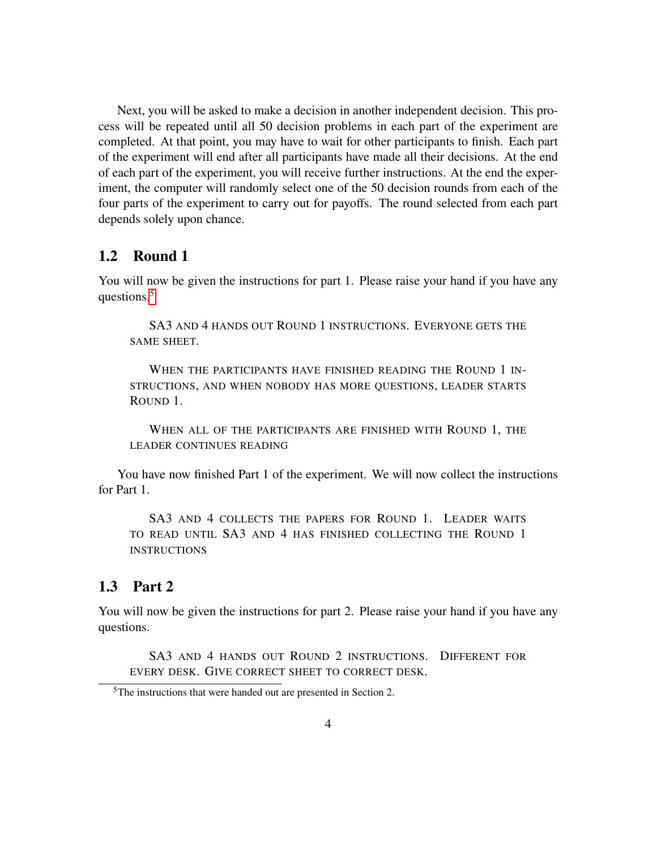Next, you will be asked to make a decision in another independent decision. This process will be repeated until all 50 decision problems in each part of the experiment are completed. At that point, you may have to wait for other participants to finish. Each part of the experiment will end after all participants have made all their decisions. At the end of each part of the experiment, you will receive further instructions. At the end the experiment, the computer will randomly select one of the 50 decision rounds from each of the four parts of the experiment to carry out for payoffs. The round selected from each part depends solely upon chance.

#### **1.2 Round 1**

You will now be given the instructions for part 1. Please raise your hand if you have any questions.<sup>[5](#page-3-0)</sup>

SA3 AND 4 HANDS OUT ROUND 1 INSTRUCTIONS. EVERYONE GETS THE SAME SHEET.

WHEN THE PARTICIPANTS HAVE FINISHED READING THE ROUND 1 IN-STRUCTIONS, AND WHEN NOBODY HAS MORE QUESTIONS, LEADER STARTS ROUND 1.

WHEN ALL OF THE PARTICIPANTS ARE FINISHED WITH ROUND 1, THE LEADER CONTINUES READING

You have now finished Part 1 of the experiment. We will now collect the instructions for Part 1.

SA3 AND 4 COLLECTS THE PAPERS FOR ROUND 1. LEADER WAITS TO READ UNTIL SA3 AND 4 HAS FINISHED COLLECTING THE ROUND 1 **INSTRUCTIONS** 

### **1.3 Part 2**

You will now be given the instructions for part 2. Please raise your hand if you have any questions.

SA3 AND 4 HANDS OUT ROUND 2 INSTRUCTIONS. DIFFERENT FOR EVERY DESK. GIVE CORRECT SHEET TO CORRECT DESK.

<span id="page-3-0"></span><sup>5</sup>The instructions that were handed out are presented in Section 2.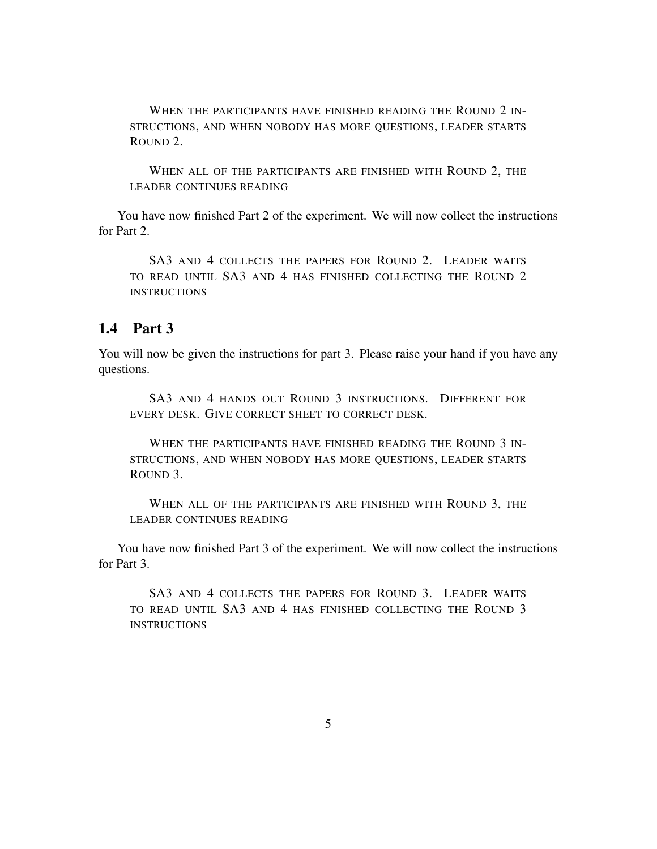WHEN THE PARTICIPANTS HAVE FINISHED READING THE ROUND 2 IN-STRUCTIONS, AND WHEN NOBODY HAS MORE QUESTIONS, LEADER STARTS ROUND 2.

WHEN ALL OF THE PARTICIPANTS ARE FINISHED WITH ROUND 2, THE LEADER CONTINUES READING

You have now finished Part 2 of the experiment. We will now collect the instructions for Part 2.

SA3 AND 4 COLLECTS THE PAPERS FOR ROUND 2. LEADER WAITS TO READ UNTIL SA3 AND 4 HAS FINISHED COLLECTING THE ROUND 2 INSTRUCTIONS

## **1.4 Part 3**

You will now be given the instructions for part 3. Please raise your hand if you have any questions.

SA3 AND 4 HANDS OUT ROUND 3 INSTRUCTIONS. DIFFERENT FOR EVERY DESK. GIVE CORRECT SHEET TO CORRECT DESK.

WHEN THE PARTICIPANTS HAVE FINISHED READING THE ROUND 3 IN-STRUCTIONS, AND WHEN NOBODY HAS MORE QUESTIONS, LEADER STARTS ROUND 3.

WHEN ALL OF THE PARTICIPANTS ARE FINISHED WITH ROUND 3, THE LEADER CONTINUES READING

You have now finished Part 3 of the experiment. We will now collect the instructions for Part 3.

SA3 AND 4 COLLECTS THE PAPERS FOR ROUND 3. LEADER WAITS TO READ UNTIL SA3 AND 4 HAS FINISHED COLLECTING THE ROUND 3 **INSTRUCTIONS**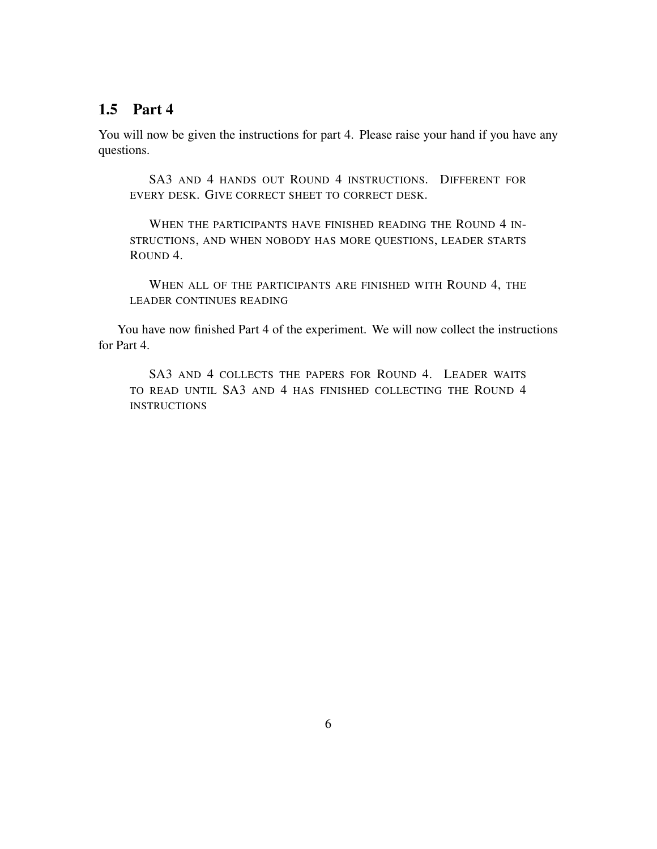## **1.5 Part 4**

You will now be given the instructions for part 4. Please raise your hand if you have any questions.

SA3 AND 4 HANDS OUT ROUND 4 INSTRUCTIONS. DIFFERENT FOR EVERY DESK. GIVE CORRECT SHEET TO CORRECT DESK.

WHEN THE PARTICIPANTS HAVE FINISHED READING THE ROUND 4 IN-STRUCTIONS, AND WHEN NOBODY HAS MORE QUESTIONS, LEADER STARTS ROUND 4.

WHEN ALL OF THE PARTICIPANTS ARE FINISHED WITH ROUND 4, THE LEADER CONTINUES READING

You have now finished Part 4 of the experiment. We will now collect the instructions for Part 4.

SA3 AND 4 COLLECTS THE PAPERS FOR ROUND 4. LEADER WAITS TO READ UNTIL SA3 AND 4 HAS FINISHED COLLECTING THE ROUND 4 INSTRUCTIONS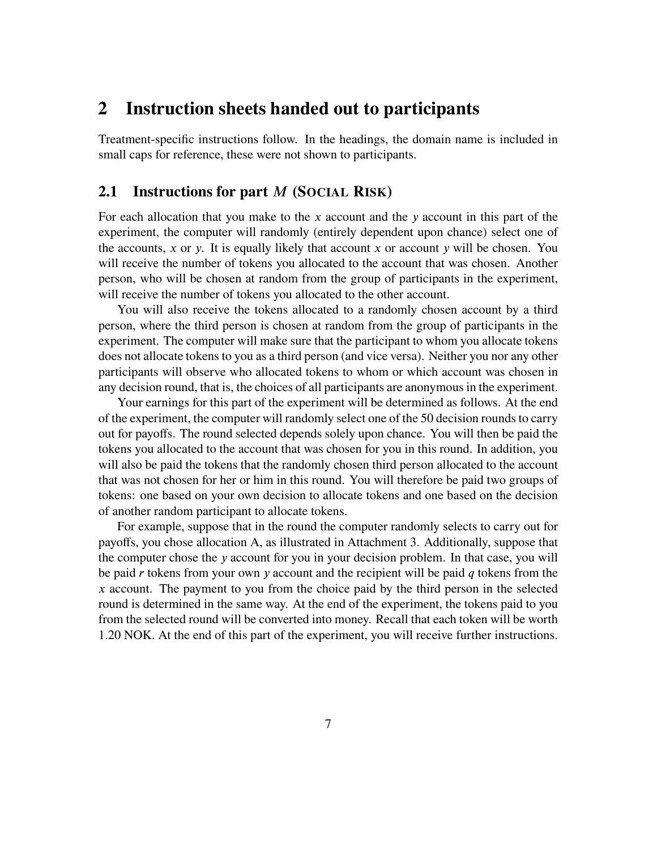## **2 Instruction sheets handed out to participants**

Treatment-specific instructions follow. In the headings, the domain name is included in small caps for reference, these were not shown to participants.

#### **2.1 Instructions for part** *𝑀* **(SOCIAL RISK)**

For each allocation that you make to the *x* account and the *y* account in this part of the experiment, the computer will randomly (entirely dependent upon chance) select one of the accounts, *x* or *y*. It is equally likely that account *x* or account *y* will be chosen. You will receive the number of tokens you allocated to the account that was chosen. Another person, who will be chosen at random from the group of participants in the experiment, will receive the number of tokens you allocated to the other account.

You will also receive the tokens allocated to a randomly chosen account by a third person, where the third person is chosen at random from the group of participants in the experiment. The computer will make sure that the participant to whom you allocate tokens does not allocate tokens to you as a third person (and vice versa). Neither you nor any other participants will observe who allocated tokens to whom or which account was chosen in any decision round, that is, the choices of all participants are anonymous in the experiment.

Your earnings for this part of the experiment will be determined as follows. At the end of the experiment, the computer will randomly select one of the 50 decision rounds to carry out for payoffs. The round selected depends solely upon chance. You will then be paid the tokens you allocated to the account that was chosen for you in this round. In addition, you will also be paid the tokens that the randomly chosen third person allocated to the account that was not chosen for her or him in this round. You will therefore be paid two groups of tokens: one based on your own decision to allocate tokens and one based on the decision of another random participant to allocate tokens.

For example, suppose that in the round the computer randomly selects to carry out for payoffs, you chose allocation A, as illustrated in Attachment 3. Additionally, suppose that the computer chose the *y* account for you in your decision problem. In that case, you will be paid *r* tokens from your own *y* account and the recipient will be paid *q* tokens from the *𝑥* account. The payment to you from the choice paid by the third person in the selected round is determined in the same way. At the end of the experiment, the tokens paid to you from the selected round will be converted into money. Recall that each token will be worth 1.20 NOK. At the end of this part of the experiment, you will receive further instructions.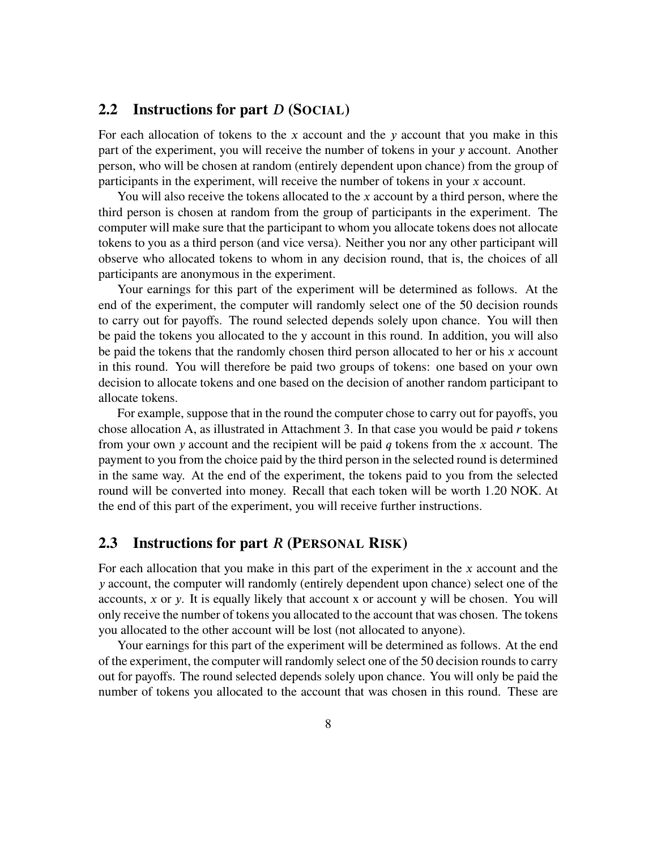#### **2.2 Instructions for part** *𝐷* **(SOCIAL)**

For each allocation of tokens to the *x* account and the *y* account that you make in this part of the experiment, you will receive the number of tokens in your *y* account. Another person, who will be chosen at random (entirely dependent upon chance) from the group of participants in the experiment, will receive the number of tokens in your *x* account.

You will also receive the tokens allocated to the *x* account by a third person, where the third person is chosen at random from the group of participants in the experiment. The computer will make sure that the participant to whom you allocate tokens does not allocate tokens to you as a third person (and vice versa). Neither you nor any other participant will observe who allocated tokens to whom in any decision round, that is, the choices of all participants are anonymous in the experiment.

Your earnings for this part of the experiment will be determined as follows. At the end of the experiment, the computer will randomly select one of the 50 decision rounds to carry out for payoffs. The round selected depends solely upon chance. You will then be paid the tokens you allocated to the y account in this round. In addition, you will also be paid the tokens that the randomly chosen third person allocated to her or his *x* account in this round. You will therefore be paid two groups of tokens: one based on your own decision to allocate tokens and one based on the decision of another random participant to allocate tokens.

For example, suppose that in the round the computer chose to carry out for payoffs, you chose allocation A, as illustrated in Attachment 3. In that case you would be paid *r* tokens from your own *𝑦* account and the recipient will be paid *𝑞* tokens from the *𝑥* account. The payment to you from the choice paid by the third person in the selected round is determined in the same way. At the end of the experiment, the tokens paid to you from the selected round will be converted into money. Recall that each token will be worth 1.20 NOK. At the end of this part of the experiment, you will receive further instructions.

#### **2.3 Instructions for part** *𝑅* **(PERSONAL RISK)**

For each allocation that you make in this part of the experiment in the x account and the *𝑦* account, the computer will randomly (entirely dependent upon chance) select one of the accounts, *x* or *y*. It is equally likely that account *x* or account *y* will be chosen. You will only receive the number of tokens you allocated to the account that was chosen. The tokens you allocated to the other account will be lost (not allocated to anyone).

Your earnings for this part of the experiment will be determined as follows. At the end of the experiment, the computer will randomly select one of the 50 decision rounds to carry out for payoffs. The round selected depends solely upon chance. You will only be paid the number of tokens you allocated to the account that was chosen in this round. These are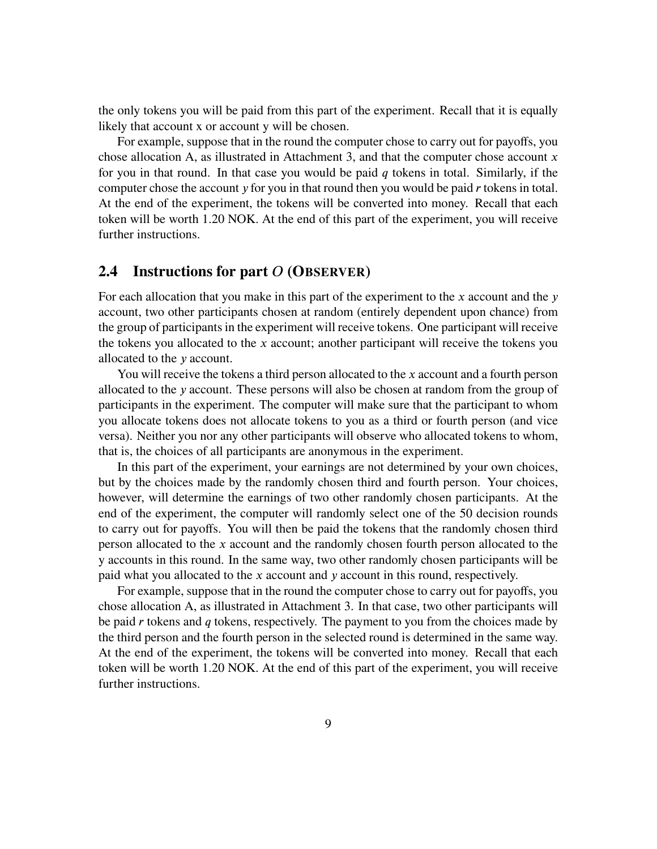the only tokens you will be paid from this part of the experiment. Recall that it is equally likely that account x or account y will be chosen.

For example, suppose that in the round the computer chose to carry out for payoffs, you chose allocation A, as illustrated in Attachment 3, and that the computer chose account *x* for you in that round. In that case you would be paid *𝑞* tokens in total. Similarly, if the computer chose the account *y* for you in that round then you would be paid *r* tokens in total. At the end of the experiment, the tokens will be converted into money. Recall that each token will be worth 1.20 NOK. At the end of this part of the experiment, you will receive further instructions.

#### **2.4 Instructions for part** *𝑂* **(OBSERVER)**

For each allocation that you make in this part of the experiment to the *x* account and the *y* account, two other participants chosen at random (entirely dependent upon chance) from the group of participants in the experiment will receive tokens. One participant will receive the tokens you allocated to the *x* account; another participant will receive the tokens you allocated to the *𝑦* account.

You will receive the tokens a third person allocated to the *x* account and a fourth person allocated to the *𝑦* account. These persons will also be chosen at random from the group of participants in the experiment. The computer will make sure that the participant to whom you allocate tokens does not allocate tokens to you as a third or fourth person (and vice versa). Neither you nor any other participants will observe who allocated tokens to whom, that is, the choices of all participants are anonymous in the experiment.

In this part of the experiment, your earnings are not determined by your own choices, but by the choices made by the randomly chosen third and fourth person. Your choices, however, will determine the earnings of two other randomly chosen participants. At the end of the experiment, the computer will randomly select one of the 50 decision rounds to carry out for payoffs. You will then be paid the tokens that the randomly chosen third person allocated to the *𝑥* account and the randomly chosen fourth person allocated to the y accounts in this round. In the same way, two other randomly chosen participants will be paid what you allocated to the *x* account and *y* account in this round, respectively.

For example, suppose that in the round the computer chose to carry out for payoffs, you chose allocation A, as illustrated in Attachment 3. In that case, two other participants will be paid *r* tokens and *q* tokens, respectively. The payment to you from the choices made by the third person and the fourth person in the selected round is determined in the same way. At the end of the experiment, the tokens will be converted into money. Recall that each token will be worth 1.20 NOK. At the end of this part of the experiment, you will receive further instructions.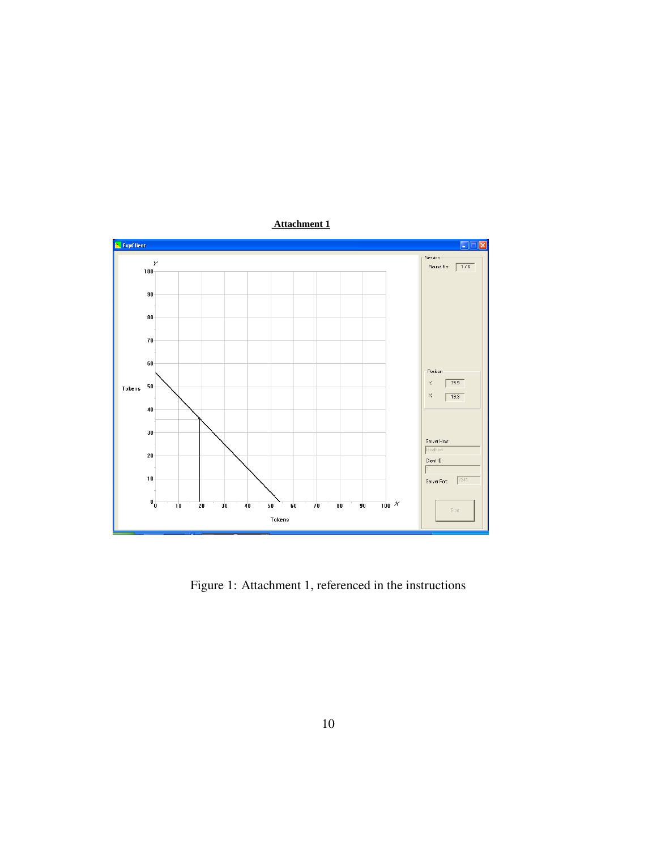

<span id="page-9-0"></span>Figure 1: Attachment 1, referenced in the instructions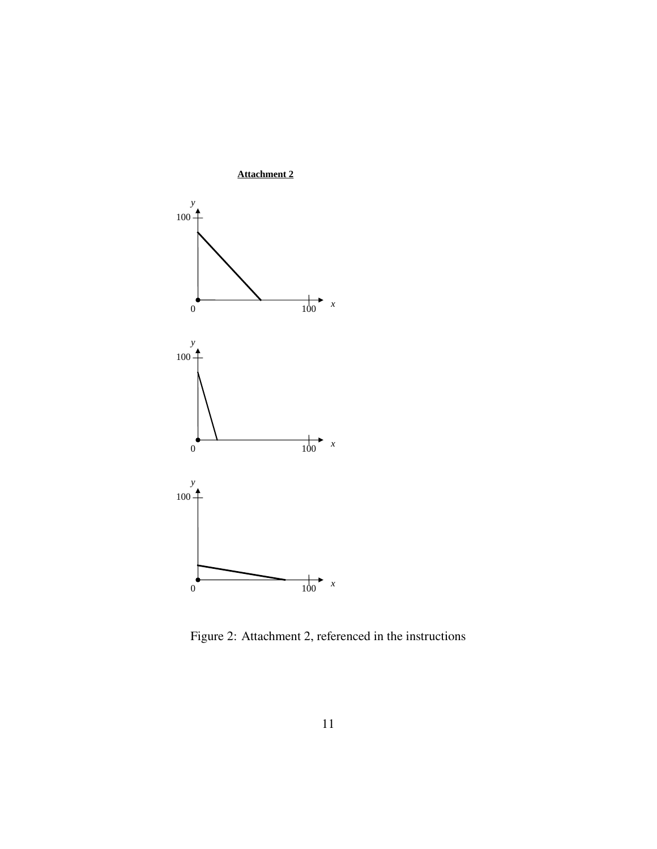

<span id="page-10-0"></span>Figure 2: Attachment 2, referenced in the instructions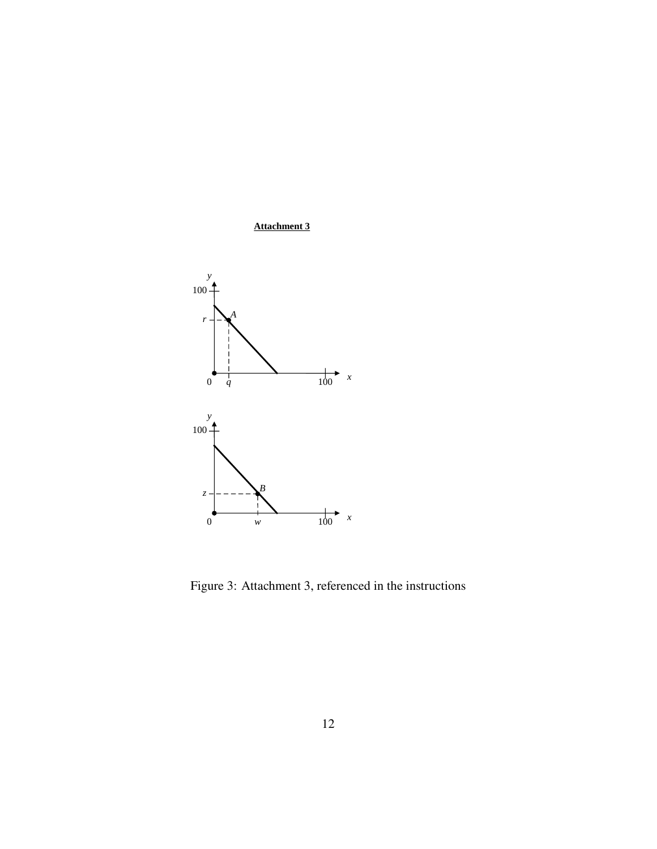## **Attachment 3**



<span id="page-11-0"></span>Figure 3: Attachment 3, referenced in the instructions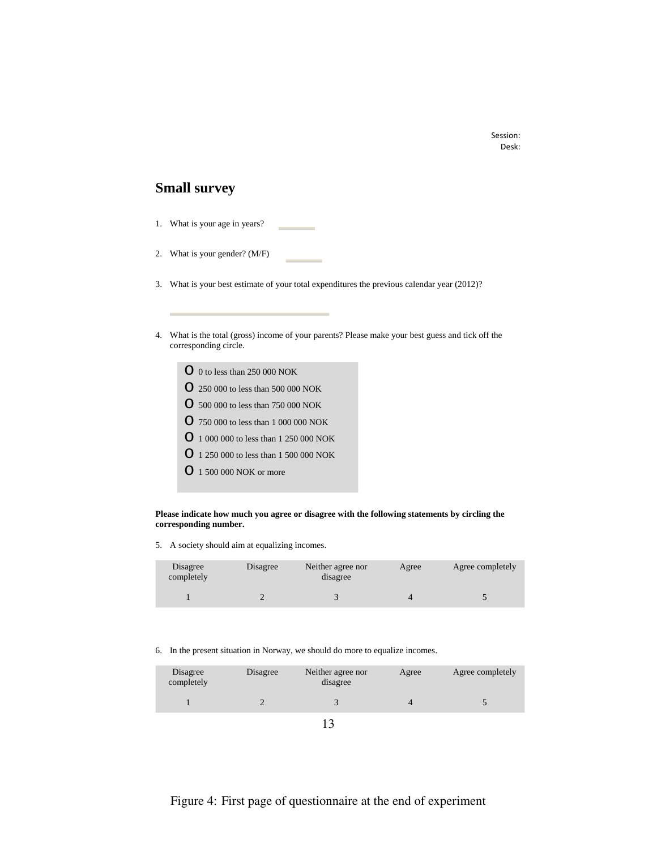#### Session: Desk:

#### **Small survey**

- 1. What is your age in years?
- 2. What is your gender? (M/F)
- 3. What is your best estimate of your total expenditures the previous calendar year (2012)?
- 4. What is the total (gross) income of your parents? Please make your best guess and tick off the corresponding circle.
	- o 0 to less than 250 000 NOK
	- o 250 000 to less than 500 000 NOK
	- o 500 000 to less than 750 000 NOK
	- o 750 000 to less than 1 000 000 NOK
	- o 1 000 000 to less than 1 250 000 NOK
	- o 1 250 000 to less than 1 500 000 NOK
	- o 1 500 000 NOK or more

**Please indicate how much you agree or disagree with the following statements by circling the corresponding number.**

5. A society should aim at equalizing incomes.

| Disagree<br>completely | Disagree | Neither agree nor<br>disagree | Agree | Agree completely |
|------------------------|----------|-------------------------------|-------|------------------|
|                        |          |                               |       |                  |

6. In the present situation in Norway, we should do more to equalize incomes.

| Disagree<br>completely | Disagree | Neither agree nor<br>disagree | Agree | Agree completely |
|------------------------|----------|-------------------------------|-------|------------------|
|                        |          |                               |       |                  |
|                        |          |                               |       |                  |

#### <span id="page-12-0"></span>Figure 4: First page of questionnaire at the end of experiment